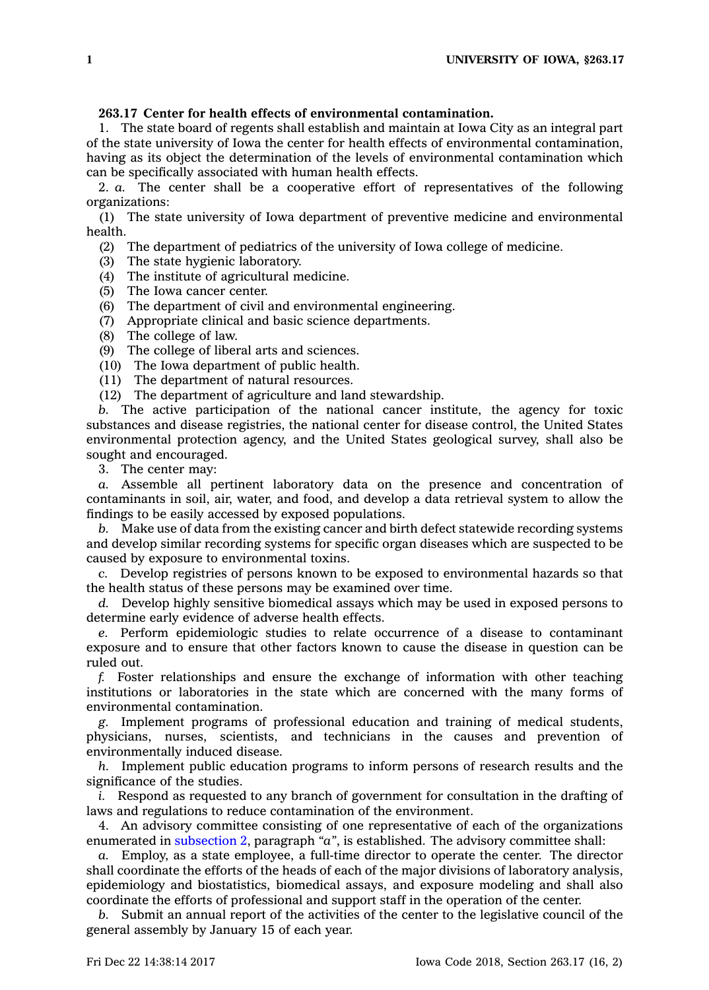## **263.17 Center for health effects of environmental contamination.**

1. The state board of regents shall establish and maintain at Iowa City as an integral part of the state university of Iowa the center for health effects of environmental contamination, having as its object the determination of the levels of environmental contamination which can be specifically associated with human health effects.

2. *a.* The center shall be <sup>a</sup> cooperative effort of representatives of the following organizations:

(1) The state university of Iowa department of preventive medicine and environmental health.

(2) The department of pediatrics of the university of Iowa college of medicine.

(3) The state hygienic laboratory.

(4) The institute of agricultural medicine.

- (5) The Iowa cancer center.
- (6) The department of civil and environmental engineering.
- (7) Appropriate clinical and basic science departments.
- (8) The college of law.
- (9) The college of liberal arts and sciences.
- (10) The Iowa department of public health.
- (11) The department of natural resources.

(12) The department of agriculture and land stewardship.

*b.* The active participation of the national cancer institute, the agency for toxic substances and disease registries, the national center for disease control, the United States environmental protection agency, and the United States geological survey, shall also be sought and encouraged.

3. The center may:

*a.* Assemble all pertinent laboratory data on the presence and concentration of contaminants in soil, air, water, and food, and develop <sup>a</sup> data retrieval system to allow the findings to be easily accessed by exposed populations.

*b.* Make use of data from the existing cancer and birth defect statewide recording systems and develop similar recording systems for specific organ diseases which are suspected to be caused by exposure to environmental toxins.

*c.* Develop registries of persons known to be exposed to environmental hazards so that the health status of these persons may be examined over time.

*d.* Develop highly sensitive biomedical assays which may be used in exposed persons to determine early evidence of adverse health effects.

*e.* Perform epidemiologic studies to relate occurrence of <sup>a</sup> disease to contaminant exposure and to ensure that other factors known to cause the disease in question can be ruled out.

*f.* Foster relationships and ensure the exchange of information with other teaching institutions or laboratories in the state which are concerned with the many forms of environmental contamination.

*g.* Implement programs of professional education and training of medical students, physicians, nurses, scientists, and technicians in the causes and prevention of environmentally induced disease.

*h.* Implement public education programs to inform persons of research results and the significance of the studies.

*i.* Respond as requested to any branch of government for consultation in the drafting of laws and regulations to reduce contamination of the environment.

4. An advisory committee consisting of one representative of each of the organizations enumerated in [subsection](https://www.legis.iowa.gov/docs/code/263.17.pdf) 2, paragraph *"a"*, is established. The advisory committee shall:

*a.* Employ, as <sup>a</sup> state employee, <sup>a</sup> full-time director to operate the center. The director shall coordinate the efforts of the heads of each of the major divisions of laboratory analysis, epidemiology and biostatistics, biomedical assays, and exposure modeling and shall also coordinate the efforts of professional and support staff in the operation of the center.

*b.* Submit an annual report of the activities of the center to the legislative council of the general assembly by January 15 of each year.